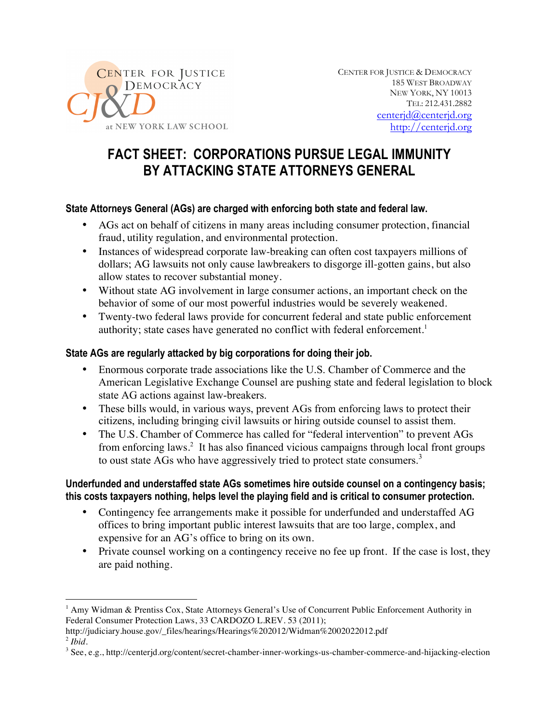

CENTER FOR JUSTICE & DEMOCRACY 185 WEST BROADWAY NEW YORK, NY 10013 TEL: 212.431.2882 centerjd@centerjd.org http://centerjd.org

# **FACT SHEET: CORPORATIONS PURSUE LEGAL IMMUNITY BY ATTACKING STATE ATTORNEYS GENERAL**

### **State Attorneys General (AGs) are charged with enforcing both state and federal law.**

- AGs act on behalf of citizens in many areas including consumer protection, financial fraud, utility regulation, and environmental protection.
- Instances of widespread corporate law-breaking can often cost taxpayers millions of dollars; AG lawsuits not only cause lawbreakers to disgorge ill-gotten gains, but also allow states to recover substantial money.
- Without state AG involvement in large consumer actions, an important check on the behavior of some of our most powerful industries would be severely weakened.
- Twenty-two federal laws provide for concurrent federal and state public enforcement authority; state cases have generated no conflict with federal enforcement. 1

### **State AGs are regularly attacked by big corporations for doing their job.**

- Enormous corporate trade associations like the U.S. Chamber of Commerce and the American Legislative Exchange Counsel are pushing state and federal legislation to block state AG actions against law-breakers.
- These bills would, in various ways, prevent AGs from enforcing laws to protect their citizens, including bringing civil lawsuits or hiring outside counsel to assist them.
- The U.S. Chamber of Commerce has called for "federal intervention" to prevent AGs from enforcing laws. <sup>2</sup> It has also financed vicious campaigns through local front groups to oust state AGs who have aggressively tried to protect state consumers.<sup>3</sup>

### **Underfunded and understaffed state AGs sometimes hire outside counsel on a contingency basis; this costs taxpayers nothing, helps level the playing field and is critical to consumer protection.**

- Contingency fee arrangements make it possible for underfunded and understaffed AG offices to bring important public interest lawsuits that are too large, complex, and expensive for an AG's office to bring on its own.
- Private counsel working on a contingency receive no fee up front. If the case is lost, they are paid nothing.

 $\overline{a}$ 

<sup>&</sup>lt;sup>1</sup> Amy Widman & Prentiss Cox, State Attorneys General's Use of Concurrent Public Enforcement Authority in Federal Consumer Protection Laws, 33 CARDOZO L.REV. 53 (2011);

http://judiciary.house.gov/\_files/hearings/Hearings%202012/Widman%2002022012.pdf  $<sup>2</sup>$  *Ibid.*</sup>

<sup>3</sup> See, e.g., http://centerjd.org/content/secret-chamber-inner-workings-us-chamber-commerce-and-hijacking-election